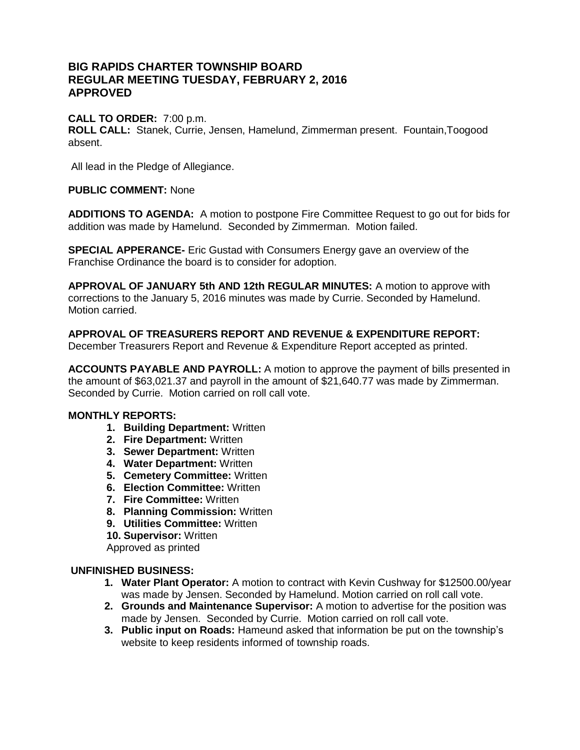# **BIG RAPIDS CHARTER TOWNSHIP BOARD REGULAR MEETING TUESDAY, FEBRUARY 2, 2016 APPROVED**

# **CALL TO ORDER:** 7:00 p.m.

**ROLL CALL:** Stanek, Currie, Jensen, Hamelund, Zimmerman present. Fountain,Toogood absent.

All lead in the Pledge of Allegiance.

## **PUBLIC COMMENT:** None

**ADDITIONS TO AGENDA:** A motion to postpone Fire Committee Request to go out for bids for addition was made by Hamelund. Seconded by Zimmerman. Motion failed.

**SPECIAL APPERANCE-** Eric Gustad with Consumers Energy gave an overview of the Franchise Ordinance the board is to consider for adoption.

**APPROVAL OF JANUARY 5th AND 12th REGULAR MINUTES:** A motion to approve with corrections to the January 5, 2016 minutes was made by Currie. Seconded by Hamelund. Motion carried.

# **APPROVAL OF TREASURERS REPORT AND REVENUE & EXPENDITURE REPORT:**

December Treasurers Report and Revenue & Expenditure Report accepted as printed.

**ACCOUNTS PAYABLE AND PAYROLL:** A motion to approve the payment of bills presented in the amount of \$63,021.37 and payroll in the amount of \$21,640.77 was made by Zimmerman. Seconded by Currie. Motion carried on roll call vote.

## **MONTHLY REPORTS:**

- **1. Building Department:** Written
- **2. Fire Department:** Written
- **3. Sewer Department:** Written
- **4. Water Department:** Written
- **5. Cemetery Committee:** Written
- **6. Election Committee:** Written
- **7. Fire Committee:** Written
- **8. Planning Commission:** Written
- **9. Utilities Committee:** Written
- **10. Supervisor:** Written

Approved as printed

# **UNFINISHED BUSINESS:**

- **1. Water Plant Operator:** A motion to contract with Kevin Cushway for \$12500.00/year was made by Jensen. Seconded by Hamelund. Motion carried on roll call vote.
- **2. Grounds and Maintenance Supervisor:** A motion to advertise for the position was made by Jensen. Seconded by Currie. Motion carried on roll call vote.
- **3. Public input on Roads:** Hameund asked that information be put on the township's website to keep residents informed of township roads.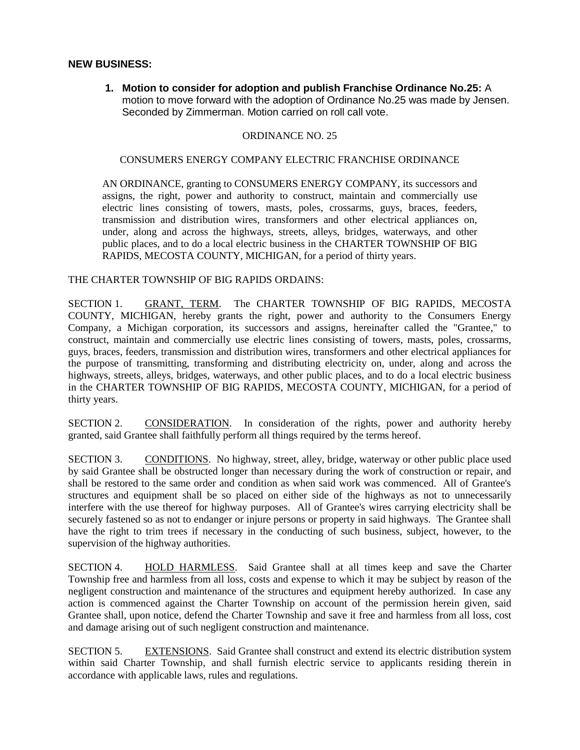## **NEW BUSINESS:**

**1. Motion to consider for adoption and publish Franchise Ordinance No.25:** A motion to move forward with the adoption of Ordinance No.25 was made by Jensen. Seconded by Zimmerman. Motion carried on roll call vote.

#### ORDINANCE NO. 25

#### CONSUMERS ENERGY COMPANY ELECTRIC FRANCHISE ORDINANCE

AN ORDINANCE, granting to CONSUMERS ENERGY COMPANY, its successors and assigns, the right, power and authority to construct, maintain and commercially use electric lines consisting of towers, masts, poles, crossarms, guys, braces, feeders, transmission and distribution wires, transformers and other electrical appliances on, under, along and across the highways, streets, alleys, bridges, waterways, and other public places, and to do a local electric business in the CHARTER TOWNSHIP OF BIG RAPIDS, MECOSTA COUNTY, MICHIGAN, for a period of thirty years.

#### THE CHARTER TOWNSHIP OF BIG RAPIDS ORDAINS:

SECTION 1. GRANT, TERM. The CHARTER TOWNSHIP OF BIG RAPIDS, MECOSTA COUNTY, MICHIGAN, hereby grants the right, power and authority to the Consumers Energy Company, a Michigan corporation, its successors and assigns, hereinafter called the "Grantee," to construct, maintain and commercially use electric lines consisting of towers, masts, poles, crossarms, guys, braces, feeders, transmission and distribution wires, transformers and other electrical appliances for the purpose of transmitting, transforming and distributing electricity on, under, along and across the highways, streets, alleys, bridges, waterways, and other public places, and to do a local electric business in the CHARTER TOWNSHIP OF BIG RAPIDS, MECOSTA COUNTY, MICHIGAN, for a period of thirty years.

SECTION 2. CONSIDERATION. In consideration of the rights, power and authority hereby granted, said Grantee shall faithfully perform all things required by the terms hereof.

SECTION 3. CONDITIONS. No highway, street, alley, bridge, waterway or other public place used by said Grantee shall be obstructed longer than necessary during the work of construction or repair, and shall be restored to the same order and condition as when said work was commenced. All of Grantee's structures and equipment shall be so placed on either side of the highways as not to unnecessarily interfere with the use thereof for highway purposes. All of Grantee's wires carrying electricity shall be securely fastened so as not to endanger or injure persons or property in said highways. The Grantee shall have the right to trim trees if necessary in the conducting of such business, subject, however, to the supervision of the highway authorities.

SECTION 4. HOLD HARMLESS. Said Grantee shall at all times keep and save the Charter Township free and harmless from all loss, costs and expense to which it may be subject by reason of the negligent construction and maintenance of the structures and equipment hereby authorized. In case any action is commenced against the Charter Township on account of the permission herein given, said Grantee shall, upon notice, defend the Charter Township and save it free and harmless from all loss, cost and damage arising out of such negligent construction and maintenance.

SECTION 5. EXTENSIONS. Said Grantee shall construct and extend its electric distribution system within said Charter Township, and shall furnish electric service to applicants residing therein in accordance with applicable laws, rules and regulations.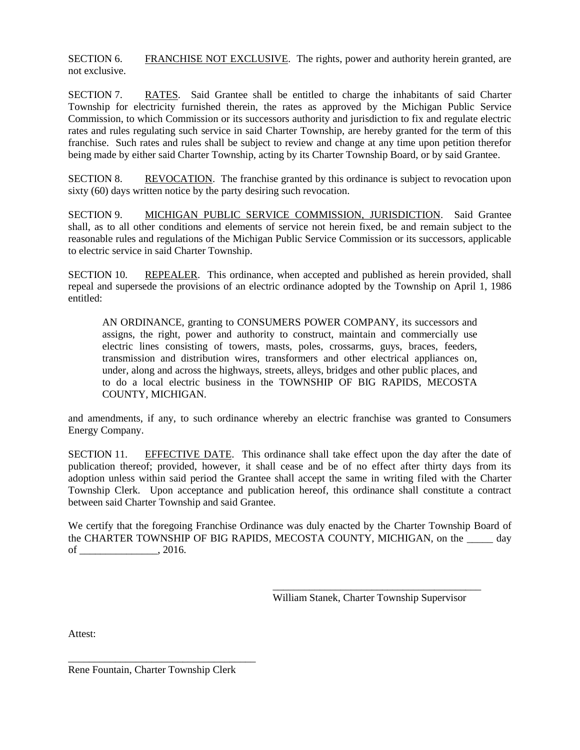SECTION 6. FRANCHISE NOT EXCLUSIVE. The rights, power and authority herein granted, are not exclusive.

SECTION 7. RATES. Said Grantee shall be entitled to charge the inhabitants of said Charter Township for electricity furnished therein, the rates as approved by the Michigan Public Service Commission, to which Commission or its successors authority and jurisdiction to fix and regulate electric rates and rules regulating such service in said Charter Township, are hereby granted for the term of this franchise. Such rates and rules shall be subject to review and change at any time upon petition therefor being made by either said Charter Township, acting by its Charter Township Board, or by said Grantee.

SECTION 8. REVOCATION. The franchise granted by this ordinance is subject to revocation upon sixty (60) days written notice by the party desiring such revocation.

SECTION 9. MICHIGAN PUBLIC SERVICE COMMISSION, JURISDICTION. Said Grantee shall, as to all other conditions and elements of service not herein fixed, be and remain subject to the reasonable rules and regulations of the Michigan Public Service Commission or its successors, applicable to electric service in said Charter Township.

SECTION 10. REPEALER. This ordinance, when accepted and published as herein provided, shall repeal and supersede the provisions of an electric ordinance adopted by the Township on April 1, 1986 entitled:

AN ORDINANCE, granting to CONSUMERS POWER COMPANY, its successors and assigns, the right, power and authority to construct, maintain and commercially use electric lines consisting of towers, masts, poles, crossarms, guys, braces, feeders, transmission and distribution wires, transformers and other electrical appliances on, under, along and across the highways, streets, alleys, bridges and other public places, and to do a local electric business in the TOWNSHIP OF BIG RAPIDS, MECOSTA COUNTY, MICHIGAN.

and amendments, if any, to such ordinance whereby an electric franchise was granted to Consumers Energy Company.

SECTION 11. EFFECTIVE DATE. This ordinance shall take effect upon the day after the date of publication thereof; provided, however, it shall cease and be of no effect after thirty days from its adoption unless within said period the Grantee shall accept the same in writing filed with the Charter Township Clerk. Upon acceptance and publication hereof, this ordinance shall constitute a contract between said Charter Township and said Grantee.

We certify that the foregoing Franchise Ordinance was duly enacted by the Charter Township Board of the CHARTER TOWNSHIP OF BIG RAPIDS, MECOSTA COUNTY, MICHIGAN, on the day  $of$  \_\_\_\_\_\_\_\_\_\_\_\_\_\_\_\_\_, 2016.

> \_\_\_\_\_\_\_\_\_\_\_\_\_\_\_\_\_\_\_\_\_\_\_\_\_\_\_\_\_\_\_\_\_\_\_\_\_\_\_\_ William Stanek, Charter Township Supervisor

Attest:

Rene Fountain, Charter Township Clerk

\_\_\_\_\_\_\_\_\_\_\_\_\_\_\_\_\_\_\_\_\_\_\_\_\_\_\_\_\_\_\_\_\_\_\_\_